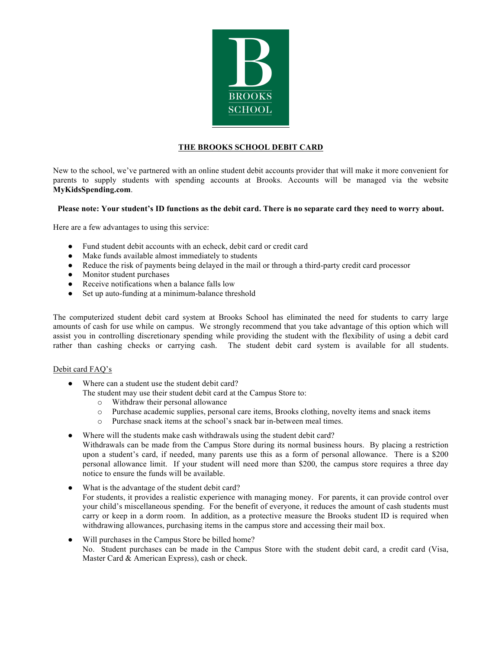

## **THE BROOKS SCHOOL DEBIT CARD**

New to the school, we've partnered with an online student debit accounts provider that will make it more convenient for parents to supply students with spending accounts at Brooks. Accounts will be managed via the website **MyKidsSpending.com**.

## **Please note: Your student's ID functions as the debit card. There is no separate card they need to worry about.**

Here are a few advantages to using this service:

- Fund student debit accounts with an echeck, debit card or credit card
- Make funds available almost immediately to students
- Reduce the risk of payments being delayed in the mail or through a third-party credit card processor
- Monitor student purchases
- Receive notifications when a balance falls low
- Set up auto-funding at a minimum-balance threshold

The computerized student debit card system at Brooks School has eliminated the need for students to carry large amounts of cash for use while on campus. We strongly recommend that you take advantage of this option which will assist you in controlling discretionary spending while providing the student with the flexibility of using a debit card rather than cashing checks or carrying cash. The student debit card system is available for all students.

## Debit card FAQ's

- Where can a student use the student debit card?
	- The student may use their student debit card at the Campus Store to:
		- o Withdraw their personal allowance
		- o Purchase academic supplies, personal care items, Brooks clothing, novelty items and snack items
		- o Purchase snack items at the school's snack bar in-between meal times.
- Where will the students make cash withdrawals using the student debit card?
- Withdrawals can be made from the Campus Store during its normal business hours. By placing a restriction upon a student's card, if needed, many parents use this as a form of personal allowance. There is a \$200 personal allowance limit. If your student will need more than \$200, the campus store requires a three day notice to ensure the funds will be available.
- What is the advantage of the student debit card? For students, it provides a realistic experience with managing money. For parents, it can provide control over your child's miscellaneous spending. For the benefit of everyone, it reduces the amount of cash students must carry or keep in a dorm room. In addition, as a protective measure the Brooks student ID is required when withdrawing allowances, purchasing items in the campus store and accessing their mail box.
- Will purchases in the Campus Store be billed home? No. Student purchases can be made in the Campus Store with the student debit card, a credit card (Visa, Master Card & American Express), cash or check.